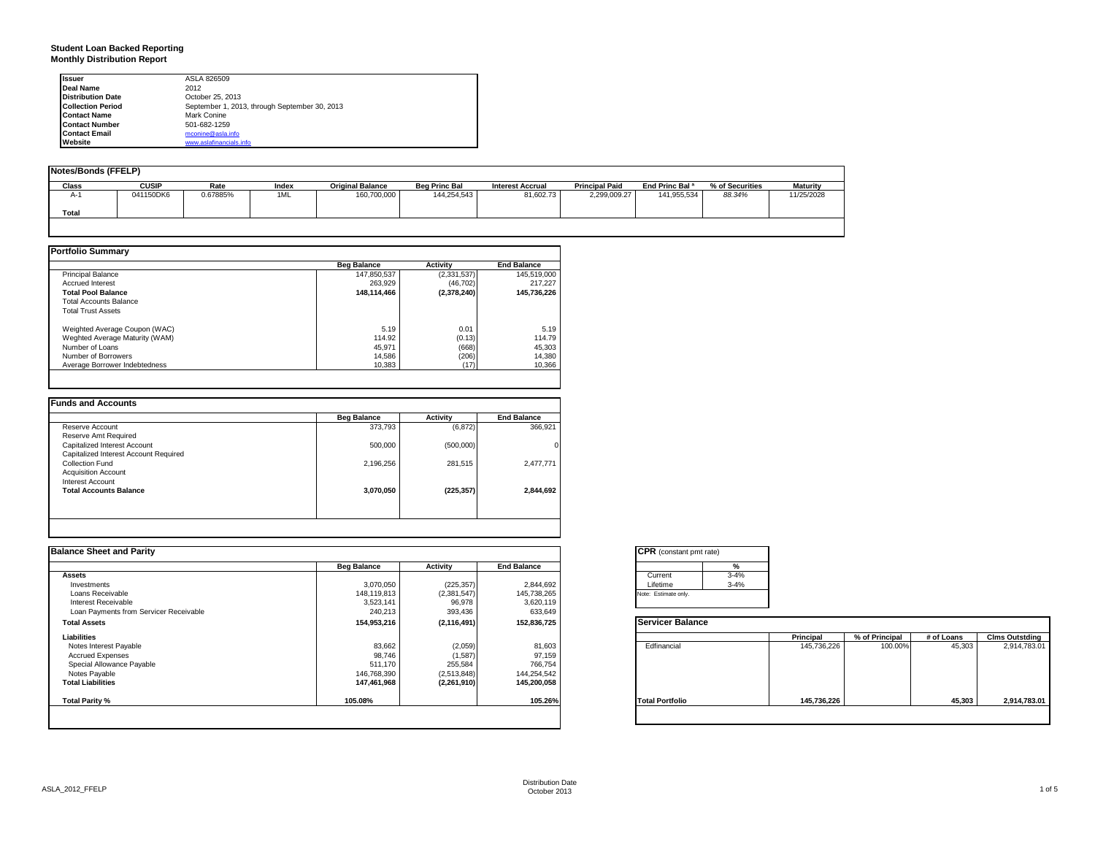# **Student Loan Backed Reporting Monthly Distribution Report**

| <b>Issuer</b>            | ASLA 826509                                   |  |
|--------------------------|-----------------------------------------------|--|
| Deal Name                | 2012                                          |  |
| <b>Distribution Date</b> | October 25, 2013                              |  |
| <b>Collection Period</b> | September 1, 2013, through September 30, 2013 |  |
| <b>Contact Name</b>      | Mark Conine                                   |  |
| <b>Contact Number</b>    | 501-682-1259                                  |  |
| <b>Contact Email</b>     | mconine@asla.info                             |  |
| Website                  | www.aslafinancials.info                       |  |

| <b>Notes/Bonds (FFELP)</b> |              |          |       |                         |                      |                         |                       |                            |                 |                 |
|----------------------------|--------------|----------|-------|-------------------------|----------------------|-------------------------|-----------------------|----------------------------|-----------------|-----------------|
| Class                      | <b>CUSIP</b> | Rate     | Index | <b>Original Balance</b> | <b>Bea Princ Bal</b> | <b>Interest Accrual</b> | <b>Principal Paid</b> | End Princ Bal <sup>a</sup> | % of Securities | <b>Maturity</b> |
| $A-1$                      | 041150DK6    | 0.67885% | 1ML   | 160,700,000             | 144,254,543          | 81,602.73               | 2.299.009.27          | 141.955.534                | 88.34%          | 11/25/2028      |
| Total                      |              |          |       |                         |                      |                         |                       |                            |                 |                 |

|                                | <b>Beg Balance</b> | <b>Activity</b> | <b>End Balance</b> |
|--------------------------------|--------------------|-----------------|--------------------|
| Principal Balance              | 147,850,537        | (2,331,537)     | 145,519,000        |
| <b>Accrued Interest</b>        | 263.929            | (46, 702)       | 217.227            |
| <b>Total Pool Balance</b>      | 148,114,466        | (2,378,240)     | 145,736,226        |
| <b>Total Accounts Balance</b>  |                    |                 |                    |
| <b>Total Trust Assets</b>      |                    |                 |                    |
| Weighted Average Coupon (WAC)  | 5.19               | 0.01            | 5.19               |
| Weghted Average Maturity (WAM) | 114.92             | (0.13)          | 114.79             |
| Number of Loans                | 45,971             | (668)           | 45,303             |
| Number of Borrowers            | 14.586             | (206)           | 14,380             |
| Average Borrower Indebtedness  | 10.383             | (17)            | 10,366             |

|                                       | <b>Beg Balance</b> | <b>Activity</b> | <b>End Balance</b> |
|---------------------------------------|--------------------|-----------------|--------------------|
| Reserve Account                       | 373,793            | (6, 872)        | 366,921            |
| Reserve Amt Required                  |                    |                 |                    |
| Capitalized Interest Account          | 500,000            | (500,000)       |                    |
| Capitalized Interest Account Required |                    |                 |                    |
| Collection Fund                       | 2,196,256          | 281,515         | 2,477,771          |
| <b>Acquisition Account</b>            |                    |                 |                    |
| Interest Account                      |                    |                 |                    |
| <b>Total Accounts Balance</b>         | 3,070,050          | (225, 357)      | 2,844,692          |
|                                       |                    |                 |                    |
|                                       |                    |                 |                    |
|                                       |                    |                 |                    |

| <b>Balance Sheet and Parity</b>        |                    |               |                    | <b>CPR</b> (constant pmt rate) |             |                |            |                       |
|----------------------------------------|--------------------|---------------|--------------------|--------------------------------|-------------|----------------|------------|-----------------------|
|                                        | <b>Beg Balance</b> | Activity      | <b>End Balance</b> | %                              |             |                |            |                       |
| <b>Assets</b>                          |                    |               |                    | $3 - 4%$<br>Current            |             |                |            |                       |
| Investments                            | 3,070,050          | (225, 357)    | 2,844,692          | $3 - 4%$<br>Lifetime           |             |                |            |                       |
| Loans Receivable                       | 148,119,813        | (2,381,547)   | 145,738,265        | Note: Estimate only.           |             |                |            |                       |
| Interest Receivable                    | 3,523,141          | 96,978        | 3,620,119          |                                |             |                |            |                       |
| Loan Payments from Servicer Receivable | 240,213            | 393,436       | 633,649            |                                |             |                |            |                       |
| <b>Total Assets</b>                    | 154,953,216        | (2, 116, 491) | 152,836,725        | <b>Servicer Balance</b>        |             |                |            |                       |
| Liabilities                            |                    |               |                    |                                | Principal   | % of Principal | # of Loans | <b>Clms Outstding</b> |
| Notes Interest Payable                 | 83,662             | (2,059)       | 81,603             | Edfinancial                    | 145,736,226 | 100.00%        | 45,303     | 2,914,783.01          |
| <b>Accrued Expenses</b>                | 98,746             | (1,587)       | 97,159             |                                |             |                |            |                       |
| Special Allowance Payable              | 511,170            | 255,584       | 766,754            |                                |             |                |            |                       |
| Notes Payable                          | 146,768,390        | (2,513,848)   | 144,254,542        |                                |             |                |            |                       |
| <b>Total Liabilities</b>               | 147,461,968        | (2,261,910)   | 145,200,058        |                                |             |                |            |                       |
| Total Parity %                         | 105.08%            |               | 105.26%            | <b>Total Portfolio</b>         | 145,736,226 |                | 45,303     | 2,914,783.01          |

| <b>CPR</b> (constant pmt rate) |          |  |  |  |  |
|--------------------------------|----------|--|--|--|--|
|                                | %        |  |  |  |  |
| Current                        | $3 - 4%$ |  |  |  |  |
| Lifetime                       | $3 - 4%$ |  |  |  |  |
| Note: Estimate only.           |          |  |  |  |  |

|                        | Principal   | % of Principal | # of Loans | <b>Clms Outstding</b> |
|------------------------|-------------|----------------|------------|-----------------------|
| Edfinancial            | 145,736,226 | 100.00%        | 45,303     | 2,914,783.01          |
| <b>Total Portfolio</b> | 145,736,226 |                | 45,303     | 2,914,783.01          |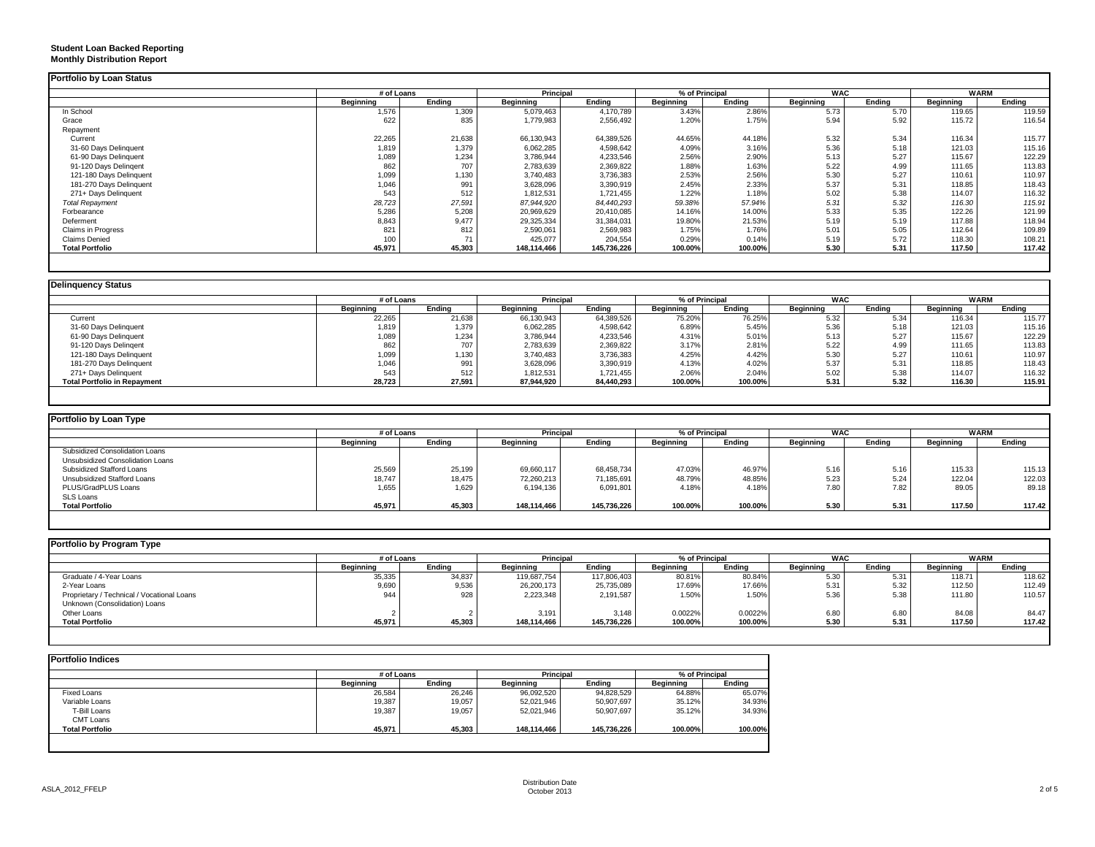## **Student Loan Backed Reporting Monthly Distribution Report**

|                           | # of Loans |        | Principal   |             | % of Principal |         | <b>WAC</b> |        | <b>WARM</b> |        |
|---------------------------|------------|--------|-------------|-------------|----------------|---------|------------|--------|-------------|--------|
|                           | Beginning  | Ending | Beginning   | Ending      | Beginning      | Ending  | Beginning  | Endina | Beginning   | Ending |
| In School                 | 1,576      | 1,309  | 5,079,463   | 4,170,789   | 3.43%          | 2.86%   | 5.73       | 5.70   | 119.65      | 119.59 |
| Grace                     | 622        | 835    | 1,779,983   | 2,556,492   | 1.20%          | 1.75%   | 5.94       | 5.92   | 115.72      | 116.54 |
| Repayment                 |            |        |             |             |                |         |            |        |             |        |
| Current                   | 22,265     | 21,638 | 66,130,943  | 64,389,526  | 44.65%         | 44.18%  | 5.32       | 5.34   | 116.34      | 115.77 |
| 31-60 Days Delinquent     | 1,819      | 1.379  | 6,062,285   | 4,598,642   | 4.09%          | 3.16%   | 5.36       | 5.18   | 121.03      | 115.16 |
| 61-90 Days Delinquent     | 1,089      | 1.234  | 3,786,944   | 4,233,546   | 2.56%          | 2.90%   | 5.13       | 5.27   | 115.67      | 122.29 |
| 91-120 Days Delingent     | 862        | 707    | 2,783,639   | 2,369,822   | 1.88%          | 1.63%   | 5.22       | 4.99   | 111.65      | 113.83 |
| 121-180 Days Delinquent   | 1,099      | 1,130  | 3,740,483   | 3,736,383   | 2.53%          | 2.56%   | 5.30       | 5.27   | 110.61      | 110.97 |
| 181-270 Days Delinquent   | 1.046      | 991    | 3,628,096   | 3,390,919   | 2.45%          | 2.33%   | 5.37       | 5.31   | 118.85      | 118.43 |
| 271+ Days Delinquent      | 543        | 512    | 1,812,531   | 1,721,455   | 1.22%          | 1.18%   | 5.02       | 5.38   | 114.07      | 116.32 |
| <b>Total Repayment</b>    | 28,723     | 27,591 | 87,944,920  | 84,440,293  | 59.38%         | 57.94%  | 5.31       | 5.32   | 116.30      | 115.91 |
| Forbearance               | 5,286      | 5,208  | 20,969,629  | 20,410,085  | 14.16%         | 14.00%  | 5.33       | 5.35   | 122.26      | 121.99 |
| Deferment                 | 8,843      | 9.477  | 29,325,334  | 31,384,031  | 19.80%         | 21.53%  | 5.19       | 5.19   | 117.88      | 118.94 |
| <b>Claims in Progress</b> | 821        | 812    | 2,590,061   | 2,569,983   | 1.75%          | 1.76%   | 5.01       | 5.05   | 112.64      | 109.89 |
| <b>Claims Denied</b>      | 100        | 71     | 425,077     | 204,554     | 0.29%          | 0.14%   | 5.19       | 5.72   | 118.30      | 108.21 |
| <b>Total Portfolio</b>    | 45,971     | 45,303 | 148,114,466 | 145,736,226 | 100.00%        | 100.00% | 5.30       | 5.31   | 117.50      | 117.42 |

| <b>Delinguency Status</b>           |            |        |            |            |                  |         |            |        |                  |        |
|-------------------------------------|------------|--------|------------|------------|------------------|---------|------------|--------|------------------|--------|
|                                     | # of Loans |        | Principal  |            | % of Principal   |         | <b>WAC</b> |        | <b>WARM</b>      |        |
|                                     | Beainnina  | Endina | Beginning  | Endina     | <b>Beainning</b> | Endina  | Beginning  | Endina | <b>Beginning</b> | Endina |
| Current                             | 22,265     | 21,638 | 66,130,943 | 64,389,526 | 75.20%           | 76.25%  | 5.32       | 5.34   | 116.34           | 115.77 |
| 31-60 Days Delinquent               | 1,819      | 1.379  | 6,062,285  | 4,598,642  | 6.89%            | 5.45%   | 5.36       | 5.18   | 121.03           | 115.16 |
| 61-90 Days Delinquent               | 1.089      | 1.234  | 3,786,944  | 4,233,546  | 4.31%            | 5.01%   | 5.13       | 5.27   | 115.67           | 122.29 |
| 91-120 Days Delingent               | 862        | 707    | 2,783,639  | 2,369,822  | 3.17%            | 2.81%   | 5.22       | 4.99   | 111.65           | 113.83 |
| 121-180 Days Delinquent             | 1,099      | 1,130  | 3,740,483  | 3,736,383  | 4.25%            | 4.42%   | 5.30       | 5.27   | 110.61           | 110.97 |
| 181-270 Days Delinquent             | 1.046      | 991    | 3,628,096  | 3,390,919  | 4.13%            | 4.02%   | 5.37       | 5.31   | 118.85           | 118.43 |
| 271+ Days Delinquent                | 543        | 512    | 1,812,531  | 1,721,455  | 2.06%            | 2.04%   | 5.02       | 5.38   | 114.07           | 116.32 |
| <b>Total Portfolio in Repayment</b> | 28,723     | 27,591 | 87,944,920 | 84,440,293 | 100.00%          | 100.00% | 5.31       | 5.32   | 116.30           | 115.91 |

| Portfolio by Loan Type           |            |        |             |                                    |                  |         |                  |        |                  |        |
|----------------------------------|------------|--------|-------------|------------------------------------|------------------|---------|------------------|--------|------------------|--------|
|                                  | # of Loans |        |             | % of Principal<br><b>Principal</b> |                  |         | <b>WAC</b>       |        | <b>WARM</b>      |        |
|                                  | Beainnina  | Endina | Beainnina   | Endina                             | <b>Beainning</b> | Endina  | <b>Beainning</b> | Endina | <b>Beginning</b> | Endina |
| Subsidized Consolidation Loans   |            |        |             |                                    |                  |         |                  |        |                  |        |
| Unsubsidized Consolidation Loans |            |        |             |                                    |                  |         |                  |        |                  |        |
| Subsidized Stafford Loans        | 25,569     | 25.199 | 69,660,117  | 68.458.734                         | 47.03%           | 46.97%  | 5.16             | 5.16   | 115.33           | 115.13 |
| Unsubsidized Stafford Loans      | 18,747     | 18,475 | 72,260,213  | 71,185,691                         | 48.79%           | 48.85%  | 5.23             | 5.24   | 122.04           | 122.03 |
| PLUS/GradPLUS Loans              | 1,655      | 1,629  | 6,194,136   | 6,091,801                          | 4.18%            | 4.18%   | 7.80             | 7.82   | 89.05            | 89.18  |
| SLS Loans                        |            |        |             |                                    |                  |         |                  |        |                  |        |
| <b>Total Portfolio</b>           | 45,971     | 45,303 | 148.114.466 | 145.736.226                        | 100.00%          | 100.00% | 5.30             | 5.31   | 117.50           | 117.42 |
|                                  |            |        |             |                                    |                  |         |                  |        |                  |        |

| Portfolio by Program Type                  |            |        |                  |             |                  |                |                  |        |                  |             |
|--------------------------------------------|------------|--------|------------------|-------------|------------------|----------------|------------------|--------|------------------|-------------|
|                                            | # of Loans |        | <b>Principal</b> |             |                  | % of Principal | <b>WAC</b>       |        |                  | <b>WARM</b> |
|                                            | Beainnina  | Endina | <b>Beginning</b> | Endina      | <b>Beainning</b> | Endina         | <b>Beginning</b> | Endina | <b>Beginning</b> | Ending      |
| Graduate / 4-Year Loans                    | 35,335     | 34,837 | 119,687,754      | 117,806,403 | 80.81%           | 80.84%         | 5.30             | 5.31   | 118.71           | 118.62      |
| 2-Year Loans                               | 9,690      | 9,536  | 26,200,173       | 25,735,089  | 17.69%           | 17.66%         | 5.31             | 5.32   | 112.50           | 112.49      |
| Proprietary / Technical / Vocational Loans | 944        | 928    | 2,223,348        | 2,191,587   | 1.50%            | 1.50%          | 5.36             | 5.38   | 111.80           | 110.57      |
| Unknown (Consolidation) Loans              |            |        |                  |             |                  |                |                  |        |                  |             |
| Other Loans                                |            |        | 3,191            | 3.148       | 0.0022%          | 0.0022%        | 6.80             | 6.80   | 84.08            | 84.47       |
| <b>Total Portfolio</b>                     | 45,971     | 45,303 | 148.114.466      | 145,736,226 | 100.00%          | 100.00%        | 5.30             | 5.31   | 117.50           | 117.42      |

|                        | # of Loans |        | Principal        |             | % of Principal |         |
|------------------------|------------|--------|------------------|-------------|----------------|---------|
|                        | Beginning  | Endina | <b>Beginning</b> | Endina      | Beginning      | Endina  |
| Fixed Loans            | 26,584     | 26,246 | 96,092,520       | 94,828,529  | 64.88%         | 65.07%  |
| Variable Loans         | 19,387     | 19,057 | 52,021,946       | 50,907,697  | 35.12%         | 34.93%  |
| T-Bill Loans           | 19,387     | 19,057 | 52,021,946       | 50,907,697  | 35.12%         | 34.93%  |
| <b>CMT Loans</b>       |            |        |                  |             |                |         |
| <b>Total Portfolio</b> | 45,971     | 45,303 | 148,114,466      | 145,736,226 | 100.00%        | 100.00% |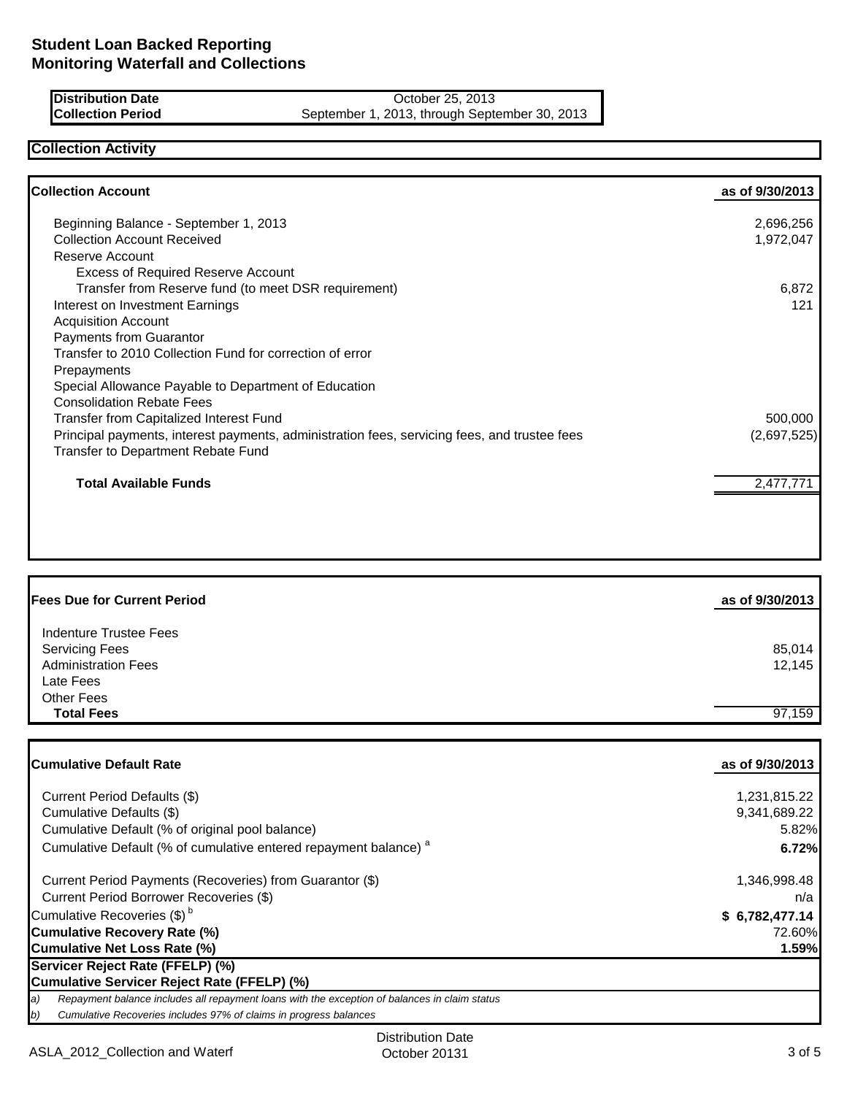**Distribution Date** October 25, 2013<br>**Collection Period** September 1, 2013, through Septe September 1, 2013, through September 30, 2013

## **Collection Activity**

| <b>Collection Account</b>                                                                    | as of 9/30/2013 |
|----------------------------------------------------------------------------------------------|-----------------|
| Beginning Balance - September 1, 2013                                                        | 2,696,256       |
| <b>Collection Account Received</b>                                                           | 1,972,047       |
| Reserve Account                                                                              |                 |
| <b>Excess of Required Reserve Account</b>                                                    |                 |
| Transfer from Reserve fund (to meet DSR requirement)                                         | 6,872           |
| Interest on Investment Earnings                                                              | 121             |
| <b>Acquisition Account</b>                                                                   |                 |
| Payments from Guarantor                                                                      |                 |
| Transfer to 2010 Collection Fund for correction of error                                     |                 |
| Prepayments                                                                                  |                 |
| Special Allowance Payable to Department of Education                                         |                 |
| <b>Consolidation Rebate Fees</b>                                                             |                 |
| Transfer from Capitalized Interest Fund                                                      | 500,000         |
| Principal payments, interest payments, administration fees, servicing fees, and trustee fees | (2,697,525)     |
| Transfer to Department Rebate Fund                                                           |                 |
| <b>Total Available Funds</b>                                                                 | 2,477,771       |
|                                                                                              |                 |
|                                                                                              |                 |
|                                                                                              |                 |

| <b>Fees Due for Current Period</b> | as of 9/30/2013 |
|------------------------------------|-----------------|
| Indenture Trustee Fees             |                 |
| <b>Servicing Fees</b>              | 85,014          |
| <b>Administration Fees</b>         | 12,145          |
| Late Fees                          |                 |
| Other Fees                         |                 |
| <b>Total Fees</b>                  | 97.159          |

| <b>Cumulative Default Rate</b>                                                                      | as of 9/30/2013 |
|-----------------------------------------------------------------------------------------------------|-----------------|
| Current Period Defaults (\$)                                                                        | 1,231,815.22    |
| Cumulative Defaults (\$)                                                                            | 9,341,689.22    |
| Cumulative Default (% of original pool balance)                                                     | 5.82%           |
| Cumulative Default (% of cumulative entered repayment balance) <sup>a</sup>                         | 6.72%           |
| Current Period Payments (Recoveries) from Guarantor (\$)                                            | 1,346,998.48    |
| Current Period Borrower Recoveries (\$)                                                             | n/a             |
| Cumulative Recoveries (\$) <sup>b</sup>                                                             | \$6,782,477.14  |
| <b>Cumulative Recovery Rate (%)</b>                                                                 | 72.60%          |
| <b>Cumulative Net Loss Rate (%)</b>                                                                 | 1.59%           |
| Servicer Reject Rate (FFELP) (%)                                                                    |                 |
| Cumulative Servicer Reject Rate (FFELP) (%)                                                         |                 |
| Repayment balance includes all repayment loans with the exception of balances in claim status<br>a) |                 |
| b)<br>Cumulative Recoveries includes 97% of claims in progress balances                             |                 |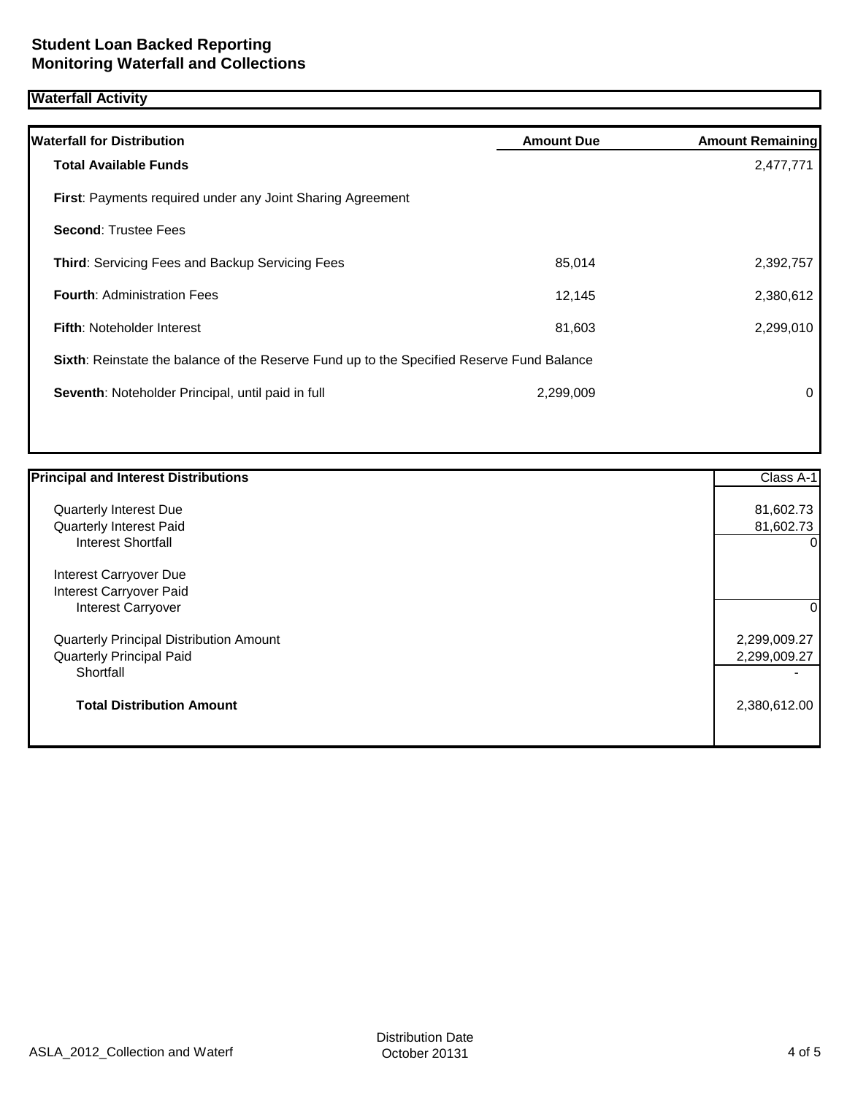## **Waterfall Activity**

| <b>Waterfall for Distribution</b>                                                                | <b>Amount Due</b> | <b>Amount Remaining</b> |
|--------------------------------------------------------------------------------------------------|-------------------|-------------------------|
| <b>Total Available Funds</b>                                                                     |                   | 2,477,771               |
| <b>First:</b> Payments required under any Joint Sharing Agreement                                |                   |                         |
| <b>Second: Trustee Fees</b>                                                                      |                   |                         |
| Third: Servicing Fees and Backup Servicing Fees                                                  | 85,014            | 2,392,757               |
| <b>Fourth: Administration Fees</b>                                                               | 12,145            | 2,380,612               |
| <b>Fifth: Noteholder Interest</b>                                                                | 81,603            | 2,299,010               |
| <b>Sixth:</b> Reinstate the balance of the Reserve Fund up to the Specified Reserve Fund Balance |                   |                         |
| Seventh: Noteholder Principal, until paid in full                                                | 2,299,009         | 0                       |
|                                                                                                  |                   |                         |

| <b>Principal and Interest Distributions</b> | Class A-1    |
|---------------------------------------------|--------------|
|                                             |              |
| Quarterly Interest Due                      | 81,602.73    |
| <b>Quarterly Interest Paid</b>              | 81,602.73    |
| <b>Interest Shortfall</b>                   | $\Omega$     |
| Interest Carryover Due                      |              |
| Interest Carryover Paid                     |              |
| <b>Interest Carryover</b>                   | 0            |
| Quarterly Principal Distribution Amount     | 2,299,009.27 |
| <b>Quarterly Principal Paid</b>             | 2,299,009.27 |
| Shortfall                                   |              |
| <b>Total Distribution Amount</b>            | 2,380,612.00 |
|                                             |              |